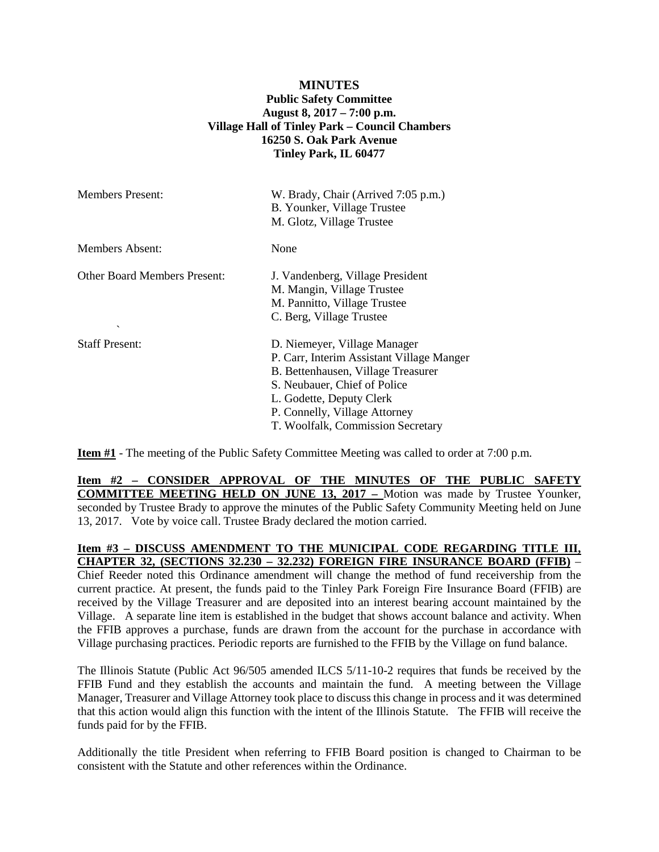# **MINUTES Public Safety Committee August 8, 2017 – 7:00 p.m. Village Hall of Tinley Park – Council Chambers 16250 S. Oak Park Avenue Tinley Park, IL 60477**

| <b>Members Present:</b>                             | W. Brady, Chair (Arrived 7:05 p.m.)<br>B. Younker, Village Trustee<br>M. Glotz, Village Trustee                                                                                                                                                   |
|-----------------------------------------------------|---------------------------------------------------------------------------------------------------------------------------------------------------------------------------------------------------------------------------------------------------|
| Members Absent:                                     | None                                                                                                                                                                                                                                              |
| <b>Other Board Members Present:</b><br>$\checkmark$ | J. Vandenberg, Village President<br>M. Mangin, Village Trustee<br>M. Pannitto, Village Trustee<br>C. Berg, Village Trustee                                                                                                                        |
| <b>Staff Present:</b>                               | D. Niemeyer, Village Manager<br>P. Carr, Interim Assistant Village Manger<br>B. Bettenhausen, Village Treasurer<br>S. Neubauer, Chief of Police<br>L. Godette, Deputy Clerk<br>P. Connelly, Village Attorney<br>T. Woolfalk, Commission Secretary |

**Item #1** - The meeting of the Public Safety Committee Meeting was called to order at 7:00 p.m.

**Item #2 – CONSIDER APPROVAL OF THE MINUTES OF THE PUBLIC SAFETY COMMITTEE MEETING HELD ON JUNE 13, 2017 –** Motion was made by Trustee Younker, seconded by Trustee Brady to approve the minutes of the Public Safety Community Meeting held on June 13, 2017. Vote by voice call. Trustee Brady declared the motion carried.

**Item #3 – DISCUSS AMENDMENT TO THE MUNICIPAL CODE REGARDING TITLE III, CHAPTER 32, (SECTIONS 32.230 – 32.232) FOREIGN FIRE INSURANCE BOARD (FFIB)** – Chief Reeder noted this Ordinance amendment will change the method of fund receivership from the current practice. At present, the funds paid to the Tinley Park Foreign Fire Insurance Board (FFIB) are received by the Village Treasurer and are deposited into an interest bearing account maintained by the Village. A separate line item is established in the budget that shows account balance and activity. When the FFIB approves a purchase, funds are drawn from the account for the purchase in accordance with Village purchasing practices. Periodic reports are furnished to the FFIB by the Village on fund balance.

The Illinois Statute (Public Act 96/505 amended ILCS 5/11-10-2 requires that funds be received by the FFIB Fund and they establish the accounts and maintain the fund. A meeting between the Village Manager, Treasurer and Village Attorney took place to discuss this change in process and it was determined that this action would align this function with the intent of the Illinois Statute. The FFIB will receive the funds paid for by the FFIB.

Additionally the title President when referring to FFIB Board position is changed to Chairman to be consistent with the Statute and other references within the Ordinance.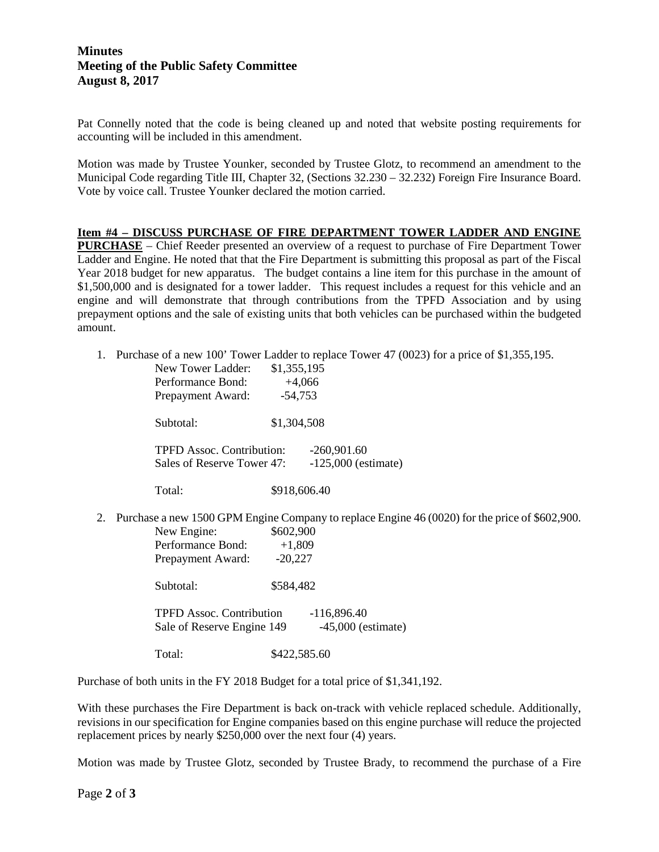# **Minutes Meeting of the Public Safety Committee August 8, 2017**

Pat Connelly noted that the code is being cleaned up and noted that website posting requirements for accounting will be included in this amendment.

Motion was made by Trustee Younker, seconded by Trustee Glotz, to recommend an amendment to the Municipal Code regarding Title III, Chapter 32, (Sections 32.230 – 32.232) Foreign Fire Insurance Board. Vote by voice call. Trustee Younker declared the motion carried.

#### **Item #4 – DISCUSS PURCHASE OF FIRE DEPARTMENT TOWER LADDER AND ENGINE**

**PURCHASE** – Chief Reeder presented an overview of a request to purchase of Fire Department Tower Ladder and Engine. He noted that that the Fire Department is submitting this proposal as part of the Fiscal Year 2018 budget for new apparatus. The budget contains a line item for this purchase in the amount of \$1,500,000 and is designated for a tower ladder. This request includes a request for this vehicle and an engine and will demonstrate that through contributions from the TPFD Association and by using prepayment options and the sale of existing units that both vehicles can be purchased within the budgeted amount.

1. Purchase of a new 100' Tower Ladder to replace Tower 47 (0023) for a price of \$1,355,195.

|    | New Tower Ladder:                                                                              | \$1,355,195           |  |
|----|------------------------------------------------------------------------------------------------|-----------------------|--|
|    | Performance Bond:                                                                              | $+4,066$              |  |
|    | Prepayment Award:                                                                              | $-54,753$             |  |
|    | Subtotal:                                                                                      | \$1,304,508           |  |
|    | <b>TPFD Assoc. Contribution:</b><br>$-260,901.60$                                              |                       |  |
|    | Sales of Reserve Tower 47:                                                                     | $-125,000$ (estimate) |  |
|    | Total:                                                                                         | \$918,606.40          |  |
| 2. | Purchase a new 1500 GPM Engine Company to replace Engine 46 (0020) for the price of \$602,900. |                       |  |
|    | New Engine:                                                                                    | \$602,900             |  |
|    | Performance Bond:                                                                              | $+1,809$              |  |
|    | Prepayment Award:                                                                              | $-20,227$             |  |
|    | Subtotal:                                                                                      | \$584,482             |  |

TPFD Assoc. Contribution -116,896.40 Sale of Reserve Engine 149 -45,000 (estimate)

Total: \$422,585.60

Purchase of both units in the FY 2018 Budget for a total price of \$1,341,192.

With these purchases the Fire Department is back on-track with vehicle replaced schedule. Additionally, revisions in our specification for Engine companies based on this engine purchase will reduce the projected replacement prices by nearly \$250,000 over the next four (4) years.

Motion was made by Trustee Glotz, seconded by Trustee Brady, to recommend the purchase of a Fire